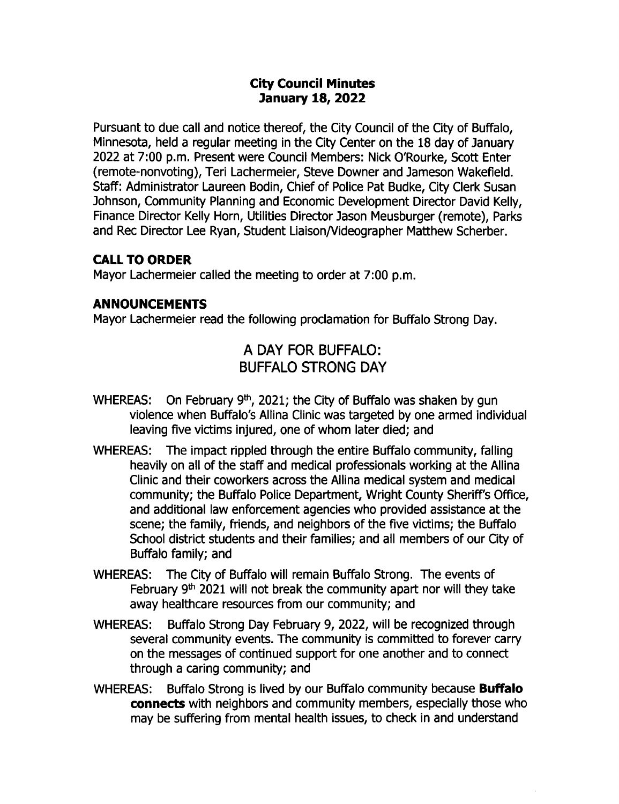## City Council Minutes 7anuary 18, 2022

Pursuant to due call and notice thereof, the City Council of the City of Buffalo, Minnesota, held a regular meeting in the City Center on the 18 day of January 2022 at 7:00 p.m. Present were Council Members: Nick O'Rourke, Scott Enter remote- nonvoting), Teri Lachermeier, Steve Downer and Jameson Wakefield. Staff: Administrator Laureen Bodin, Chief of Police Pat Budke, City Clerk Susan Johnson, Community Planning and Economic Development Director David Kelly, Finance Director Kelly Horn, Utilities Director Jason Meusburger ( remote), Parks and Rec Director Lee Ryan, Student Liaison/ Videographer Matthew Scherber.

### CALL TO ORDER

Mayor Lachermeier called the meeting to order at 7:00 p.m.

### ANNOUNCEMENTS

Mayor Lachermeier read the following proclamation for Buffalo Strong Day.

# A DAY FOR BUFFALO: BUFFALO STRONG DAY

- WHEREAS: On February 9<sup>th</sup>, 2021; the City of Buffalo was shaken by gun violence when Buffalo's Allina Clinic was targeted by one armed individual leaving five victims injured, one of whom later died; and
- WHEREAS: The impact rippled through the entire Buffalo community, falling heavily on all of the staff and medical professionals working at the Allina Clinic and their coworkers across the Allina medical system and medical community; the Buffalo Police Department, Wright County Sheriff's Office, and additional law enforcement agencies who provided assistance at the scene; the family, friends, and neighbors of the five victims; the Buffalo School district students and their families; and all members of our City of Buffalo family; and
- WHEREAS: The City of Buffalo will remain Buffalo Strong. The events of February  $9<sup>th</sup>$  2021 will not break the community apart nor will they take away healthcare resources from our community; and
- WHEREAS: Buffalo Strong Day February 9, 2022, will be recognized through several community events. The community is committed to forever carry on the messages of continued support for one another and to connect through a caring community; and
- WHEREAS: Buffalo Strong is lived by our Buffalo community because **Buffalo** connects with neighbors and community members, especially those who may be suffering from mental health issues, to check in and understand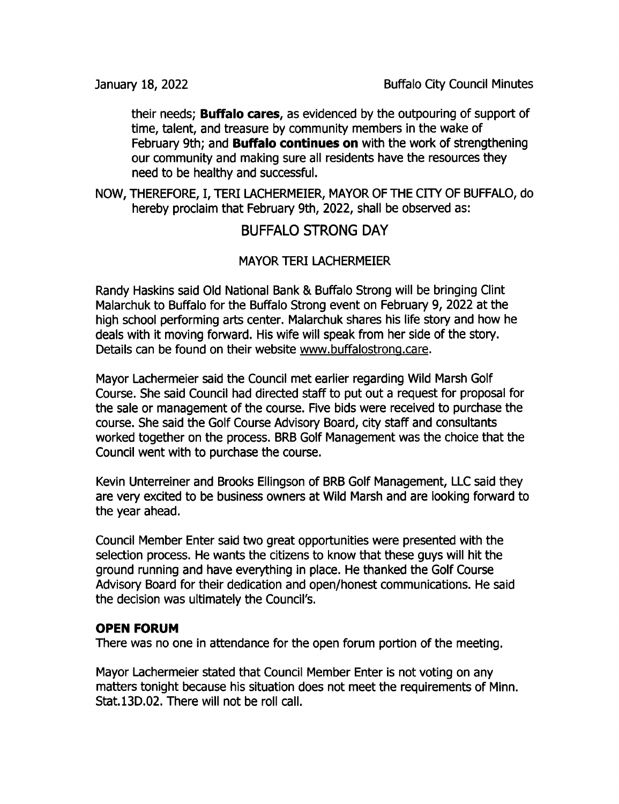their needs; Buffalo cares, as evidenced by the outpouring of support of time, talent, and treasure by community members in the wake of February 9th; and **Buffalo continues on** with the work of strengthening our community and making sure all residents have the resources they need to be healthy and successful.

NOW, THEREFORE, I, TERI LACHERMEIER, MAYOR OF THE CITY OF BUFFALO, do hereby proclaim that February 9th, 2022, shall be observed as:

## BUFFALO STRONG DAY

## MAYOR TERI LACHERMEIER

Randy Haskins said Old National Bank & Buffalo Strong will be bringing Clint Malarchuk to Buffalo for the Buffalo Strong event on February 9, 2022 at the high school performing arts center. Malarchuk shares his life story and how he deals with it moving forward. His wife will speak from her side of the story. Details can be found on their website www. buffalostrong. care.

Mayor Lachermeier said the Council met earlier regarding Wild Marsh Golf Course. She said Council had directed staff to put out a request for proposal for the sale or management of the course. Five bids were received to purchase the course. She said the Golf Course Advisory Board, city staff and consultants worked together on the process. BRB Golf Management was the choice that the Council went with to purchase the course.

Kevin Unterreiner and Brooks Ellingson of BRB Golf Management, LLC said they are very excited to be business owners at Wild Marsh and are looking forward to the year ahead.

Council Member Enter said two great opportunities were presented with the selection process. He wants the citizens to know that these guys will hit the ground running and have everything in place. He thanked the Golf Course Advisory Board for their dedication and open/honest communications. He said the decision was ultimately the Council's.

## OPEN FORUM

There was no one in attendance for the open forum portion of the meeting.

Mayor Lachermeier stated that Council Member Enter is not voting on any matters tonight because his situation does not meet the requirements of Minn. Stat. 13D.02. There will not be roll call.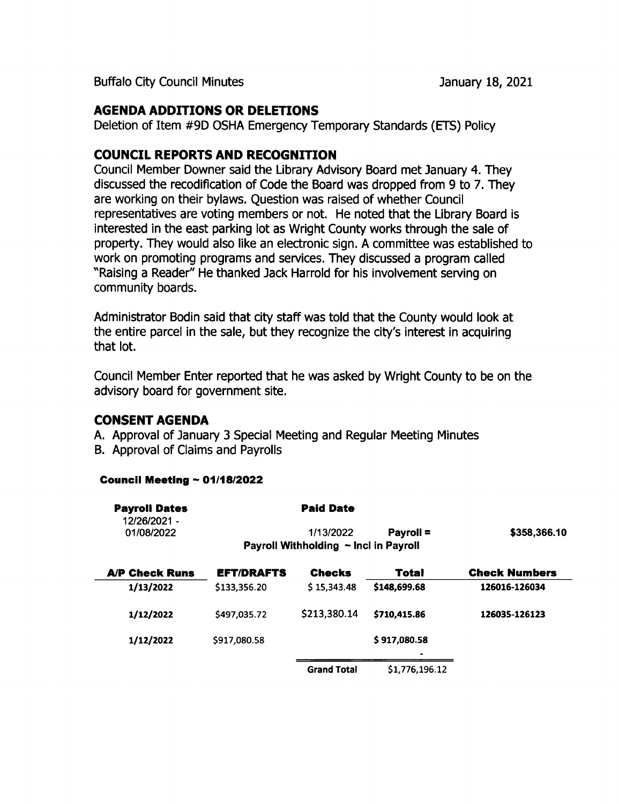Buffalo City Council Minutes **January 18, 2021** 

## AGENDA ADDITIONS OR DELETIONS

Deletion of Item #9D OSHA Emergency Temporary Standards (ETS) Policy

## COUNCIL REPORTS AND RECOGNITION

Council Member powner said the Library Advisory Board met January 4. They discussed the recodification of Code the Board was dropped from 9 to 7. They are working on their bylaws. Question was raised of whether Council representatives are voting members or not. He noted that the Library Board is interested in the east parking lot as Wright County works through the sale of property. They would also like an electronic sign. A committee was established to work on promoting programs and services. They discussed a program called Raising a Reader" He thanked Jack Harrold for his involvement serving on community boards.

Administrator Bodin said that city staff was told that the County would look at the entire parcel in the sale, but they recognize the city's interest in acquiring that lot.

Council Member Enter reported that he was asked by Wright County to be on the advisory board for government site.

## CONSENT AGENDA

- A. Approval of January 3 Special Meeting and Regular Meeting Minutes
- B. Approval of Claims and Payrolls

#### Council Meeting  $\sim 01/18/2022$

| <b>Payroll Dates</b><br>12/26/2021 - |                   | <b>Paid Date</b>                      |                |                      |
|--------------------------------------|-------------------|---------------------------------------|----------------|----------------------|
| 01/08/2022                           |                   | 1/13/2022                             | Payroll =      | \$358,366.10         |
|                                      |                   | Payroll Withholding ~ Incl in Payroll |                |                      |
| <b>A/P Check Runs</b>                | <b>EFT/DRAFTS</b> | <b>Checks</b>                         | Total          | <b>Check Numbers</b> |
| 1/13/2022                            | \$133,356.20      | \$15,343.48                           | \$148,699.68   | 126016-126034        |
| 1/12/2022                            | \$497,035.72      | \$213,380.14                          | \$710.415.86   | 126035-126123        |
| 1/12/2022                            | \$917.080.58      |                                       | \$917,080.58   |                      |
|                                      |                   | <b>Grand Total</b>                    | \$1,776,196.12 |                      |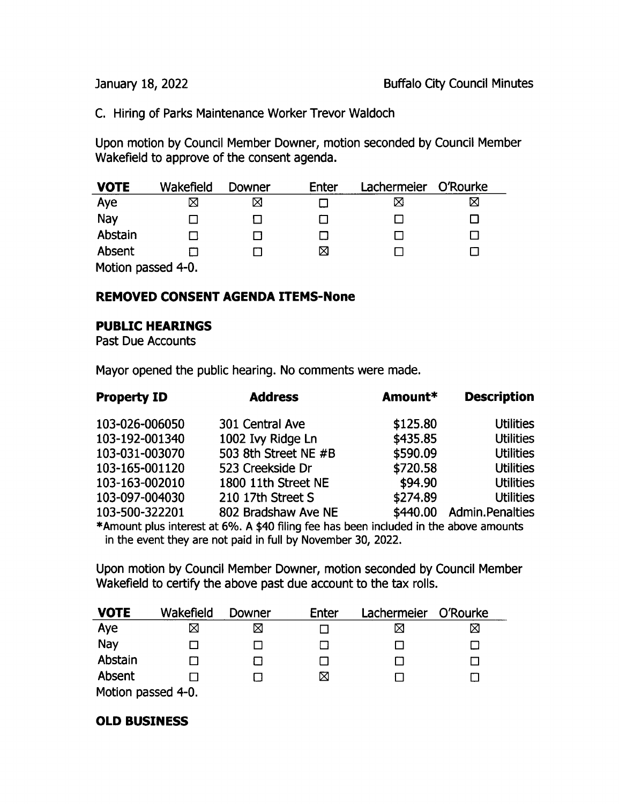C. Hiring of Parks Maintenance Worker Trevor Waldoch

Upon motion by Council Member Downer, motion seconded by Council Member Wakefield to approve of the consent agenda.

| <b>VOTE</b>        | Wakefield | Downer | Enter | Lachermeier | O'Rourke |  |  |
|--------------------|-----------|--------|-------|-------------|----------|--|--|
| Aye                | ⋈         | X      |       | ⊠           |          |  |  |
| Nay                |           |        |       |             |          |  |  |
| Abstain            |           |        |       |             |          |  |  |
| Absent             |           |        | ⊠     |             |          |  |  |
| Motion passed 4-0. |           |        |       |             |          |  |  |

### REMOVED CONSENT AGENDA ITEMS- None

#### PUBLIC HEARINGS

Past Due Accounts

Mayor opened the public hearing. No comments were made.

| <b>Property ID</b>                                                                                                                                    | <b>Address</b>       | Amount*  | <b>Description</b>     |  |  |  |  |
|-------------------------------------------------------------------------------------------------------------------------------------------------------|----------------------|----------|------------------------|--|--|--|--|
| 103-026-006050                                                                                                                                        | 301 Central Ave      | \$125.80 | <b>Utilities</b>       |  |  |  |  |
| 103-192-001340                                                                                                                                        | 1002 Ivy Ridge Ln    | \$435.85 | <b>Utilities</b>       |  |  |  |  |
| 103-031-003070                                                                                                                                        | 503 8th Street NE #B | \$590.09 | <b>Utilities</b>       |  |  |  |  |
| 103-165-001120                                                                                                                                        | 523 Creekside Dr     | \$720.58 | <b>Utilities</b>       |  |  |  |  |
| 103-163-002010                                                                                                                                        | 1800 11th Street NE  | \$94.90  | <b>Utilities</b>       |  |  |  |  |
| 103-097-004030                                                                                                                                        | 210 17th Street S    | \$274.89 | <b>Utilities</b>       |  |  |  |  |
| 103-500-322201                                                                                                                                        | 802 Bradshaw Ave NE  | \$440.00 | <b>Admin.Penalties</b> |  |  |  |  |
| *Amount plus interest at 6%. A \$40 filing fee has been included in the above amounts<br>in the overt thou are not noted in full by November 20, 2022 |                      |          |                        |  |  |  |  |

in the event they are not paid in full by November 30, 2022.

Upon motion by Council Member Downer, motion seconded by Council Member Wakefield to certify the above past due account to the tax rolls.

| <b>VOTE</b>                         | Wakefield | Downer | Enter | Lachermeier | O'Rourke |
|-------------------------------------|-----------|--------|-------|-------------|----------|
| Aye                                 | ⊠         |        |       | ⊠           | ⊠        |
| Nay                                 |           |        |       |             |          |
| Abstain                             |           |        |       | LΙ          |          |
| Absent                              |           |        | ⊠     |             |          |
| $Mathan$ parand $\Lambda$ $\Lambda$ |           |        |       |             |          |

Motion passed 4-0.

#### OLD BUSINESS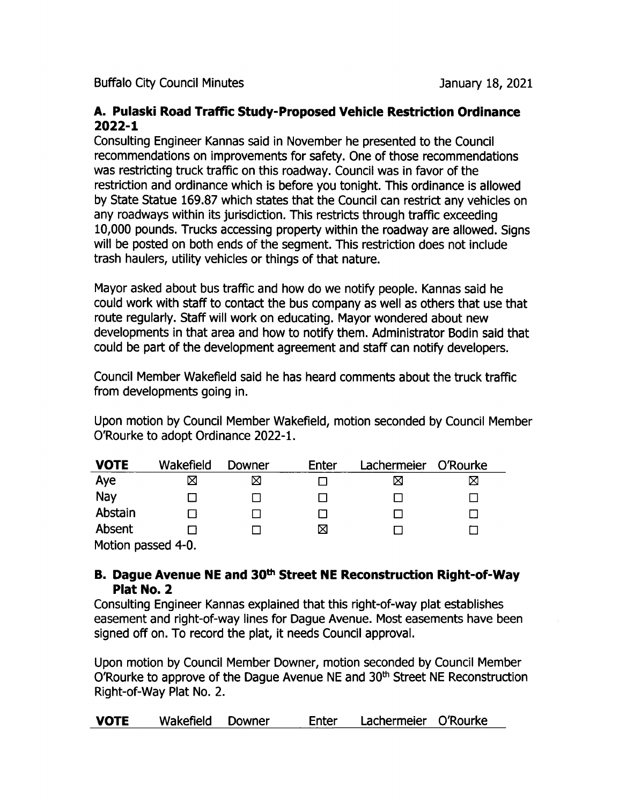Buffalo City Council Minutes **January 18, 2021** 

### A. Pulaski Road Traffic Study- Proposed Vehicle Restriction Ordinance  $2022 - 1$

Consulting Engineer Kannas said in November he presented to the Council recommendations on improvements for safety. One of those recommendations was restricting truck traffic on this roadway. Council was in favor of the restriction and ordinance which is before you tonight. This ordinance is allowed by State Statue 169.87 which states that the Council can restrict any vehicles on any roadways within its jurisdiction. This restricts through traffic exceeding 10, 000 pounds. Trucks accessing property within the roadway are allowed. Signs will be posted on both ends of the segment. This restriction does not include trash haulers, utility vehicles or things of that nature.

Mayor asked about bus traffic and how do we notify people. Kannas said he could work with staff to contact the bus company as well as others that use that route regularly. Staff will work on educating. Mayor wondered about new developments in that area and how to notify them. Administrator Bodin said that could be part of the development agreement and staff can notify developers.

Council Member Wakefield said he has heard comments about the truck traffic from developments going in.

Upon motion by Council Member Wakefield, motion seconded by Council Member O'Rourke to adopt Ordinance 2022-1.

| <b>VOTE</b> | Wakefield          | Downer | <b>Enter</b> | Lachermeier | O'Rourke |  |  |
|-------------|--------------------|--------|--------------|-------------|----------|--|--|
| Aye         | ⊠                  | Χ      |              |             | ⊠        |  |  |
| Nay         |                    |        |              |             |          |  |  |
| Abstain     |                    |        |              |             |          |  |  |
| Absent      |                    |        | ⊠            |             |          |  |  |
|             | Motion passed 4-0. |        |              |             |          |  |  |

B. Dague Avenue NE and 30<sup>th</sup> Street NE Reconstruction Right-of-Way Plat No. 2

Consulting Engineer Kannas explained that this right-of-way plat establishes easement and right-of-way lines for Dague Avenue. Most easements have been signed off on. To record the plat, it needs Council approval.

Upon motion by Council Member Downer, motion seconded by Council Member O'Rourke to approve of the Dague Avenue NE and 30<sup>th</sup> Street NE Reconstruction Right-of-Way Plat No. 2.

| <b>VOTE</b> | Wakefield Downer | Enter | Lachermeier O'Rourke |  |
|-------------|------------------|-------|----------------------|--|
|             |                  |       |                      |  |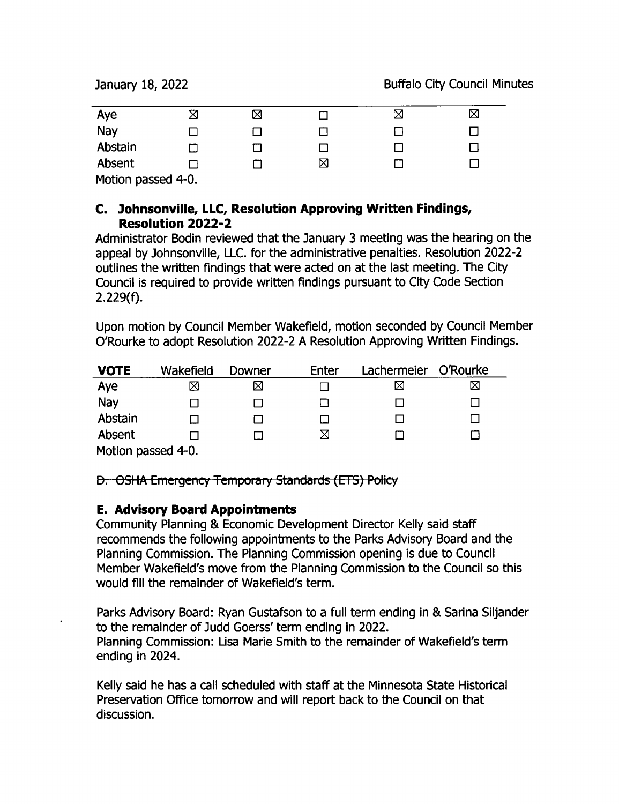| Aye                | ⊠ | $\boxtimes$ |   | ⊠ | ⊠ |
|--------------------|---|-------------|---|---|---|
| Nay                |   |             |   |   |   |
| Abstain            |   |             |   |   |   |
| Absent             |   |             | ⊠ |   |   |
| Motion passed 4-0. |   |             |   |   |   |

## C. ) ohnsonville, LLC, Resolution Approving Written Findings, Resolution 2022- 2

Administrator Bodin reviewed that the January 3 meeting was the hearing on the appeal by Johnsonville, LLC. for the administrative penalties. Resolution 2022-2 outlines the written findings that were acted on at the last meeting. The City Council is required to provide written findings pursuant to City Code Section  $2.229(f).$ 

Upon motion by Council Member Wakefield, motion seconded by Council Member 0'Rourke to adopt Resolution 2022- <sup>2</sup> A Resolution Approving Written Findings.

| <b>VOTE</b>        | Wakefield | Downer | Enter | Lachermeier | O'Rourke |  |
|--------------------|-----------|--------|-------|-------------|----------|--|
| Aye                | ⊠         | ⊠      |       |             | ⊠        |  |
| Nay                |           |        |       |             |          |  |
| Abstain            |           |        |       |             |          |  |
| Absent             |           |        | ⊠     |             |          |  |
| Motion passed 4-0. |           |        |       |             |          |  |

D. OSHA Emergency Temporary Standards (ETS) Policy

## E. Advisory Board Appointments

Community Planning & Economic Development Director Kelly said staff recommends the following appointments to the Parks Advisory Board and the Planning Commission. The Planning Commission opening is due to Council Member Wakefield's move from the Planning Commission to the Council so this would fill the remainder of Wakefield's term.

Parks Advisory Board: Ryan Gustafson to <sup>a</sup> full term ending in & Sarina Siljander to the remainder of Judd Goerss' term ending in 2022. Planning Commission: Lisa Marie Smith to the remainder of Wakefield's term ending in 2024.

Kelly said he has a call scheduled with staff at the Minnesota State Historical Preservation Office tomorrow and will report back to the Council on that discussion.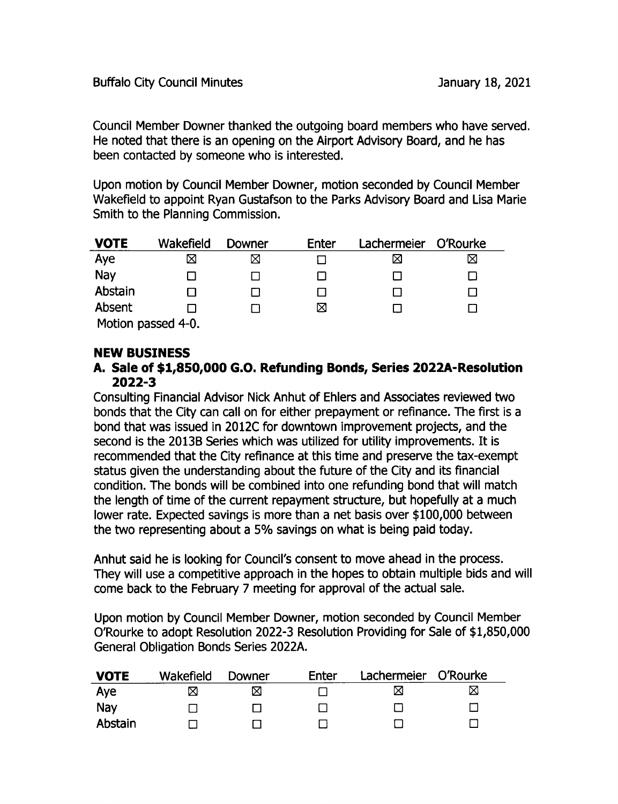Council Member Downer thanked the outgoing board members who have served. He noted that there is an opening on the Airport Advisory Board, and he has been contacted by someone who is interested.

Upon motion by Council Member Downer, motion seconded by Council Member Wakefield to appoint Ryan Gustafson to the Parks Advisory Board and Lisa Marie Smith to the Planning Commission.

| <b>VOTE</b>        | Wakefield | Downer | Enter | Lachermeier | O'Rourke |  |
|--------------------|-----------|--------|-------|-------------|----------|--|
| Aye                | ⊠         | ⊠      |       | ⋉           | ⊠        |  |
| Nay                |           |        |       |             |          |  |
| Abstain            |           |        |       |             |          |  |
| Absent             |           |        | ⊠     |             |          |  |
| Motion passed 4-0. |           |        |       |             |          |  |

NEW BUSINESS

#### A. Sale of \$1,850,000 G.O. Refunding Bonds, Series 2022A- Resolution  $2022 - 3$

Consulting Financial Advisor Nick Anhut of Ehlers and Associates reviewed two bonds that the City can call on for either prepayment or refinance. The first is a bond that was issued in 2012C for downtown improvement projects, and the second is the 2013B Series which was utilized for utility improvements. It is recommended that the City refinance at this time and preserve the tax-exempt status given the understanding about the future of the City and its financial condition. The bonds will be combined into one refunding bond that will match the length of time of the current repayment structure, but hopefully at a much lower rate. Expected savings is more than a net basis over \$100,000 between the two representing about <sup>a</sup> 5% savings on what is being paid today.

Anhut said he is looking for Council's consent to move ahead in the process. They will use a competitive approach in the hopes to obtain multiple bids and will come back to the February 7 meeting for approval of the actual sale.

Upon motion by Council Member powner, motion seconded by Council Member O'Rourke to adopt Resolution 2022-3 Resolution Providing for Sale of \$1,850,000 General Obligation Bonds Series 2022A.

| <b>VOTE</b> | Wakefield | Downer | Enter | Lachermeier O'Rourke |   |
|-------------|-----------|--------|-------|----------------------|---|
| Aye         | ⋈         | ⋈      |       | ⋈                    | ⊠ |
| Nay         |           |        |       |                      |   |
| Abstain     |           |        |       |                      |   |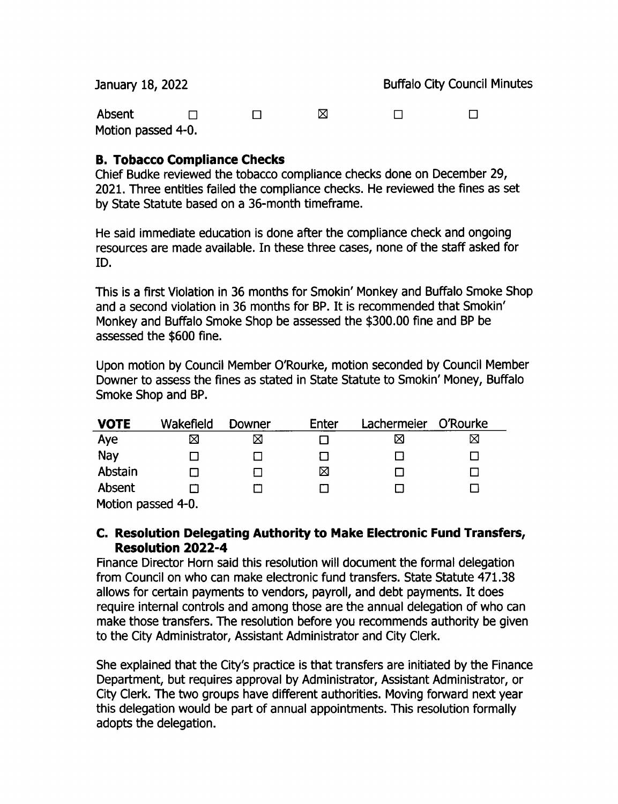| January 18, 2022             |  |  |   | <b>Buffalo City Council Minutes</b> |  |  |
|------------------------------|--|--|---|-------------------------------------|--|--|
| Absent<br>Motion passed 4-0. |  |  | ⋈ | $\mathbf{1}$                        |  |  |

## B. Tobacco Compliance Checks

Chief Budke reviewed the tobacco compliance checks done on December 29, 2021. Three entities failed the compliance checks. He reviewed the fines as set by State Statute based on a 36- month timeframe.

He said immediate education is done after the compliance check and ongoing resources are made available. In these three cases, none of the staff asked for ID.

This is a first Violation in 36 months for Smokin' Monkey and Buffalo Smoke Shop and <sup>a</sup> second violation in 36 months for BP. It is recommended that Smokin' Monkey and Buffalo Smoke Shop be assessed the \$ 300. 00 fine and BP be assessed the \$600 fine.

Upon motion by Council Member 0'Rourke, motion seconded by Council Member Downer to assess the fines as stated in State Statute to Smokin' Money, Buffalo Smoke Shop and BP.

| <b>VOTE</b>               | Wakefield      | Downer | Enter | Lachermeier | O'Rourke |
|---------------------------|----------------|--------|-------|-------------|----------|
| Aye                       | ⊠              | ⊠      |       | ⋈           | ⋈        |
| Nay                       | $\blacksquare$ |        |       |             |          |
| Abstain                   |                |        | ⊠     |             |          |
| Absent                    |                |        |       |             |          |
| Mation paccod $\Lambda$ D |                |        |       |             |          |

Motion passed 4-0.

## C. Resolution Delegating Authority to Make Electronic Fund Transfers, Resolution 2022-4

Finance Director Horn said this resolution will document the formal delegation from Council on who can make electronic fund transfers. State Statute 471. 38 allows for certain payments to vendors, payroll, and debt payments. It does require internal controls and among those are the annual delegation of who can make those transfers. The resolution before you recommends authority be given to the City Administrator, Assistant Administrator and City Clerk.

She explained that the City's practice is that transfers are initiated by the Finance Department, but requires approval by Administrator, Assistant Administrator, or City Clerk. The two groups have different authorities. Moving forward next year this delegation would be part of annual appointments. This resolution formally adopts the delegation.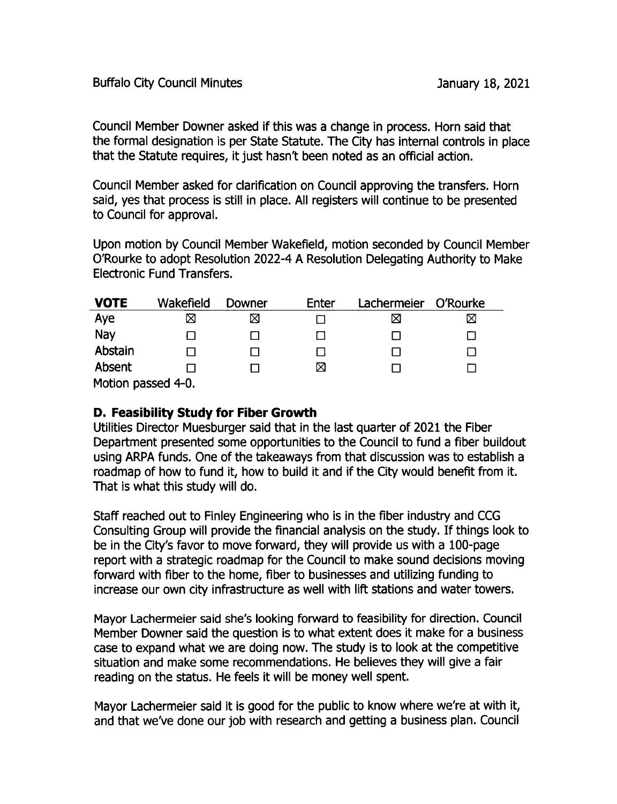Council Member Downer asked if this was a change in process. Horn said that the formal designation is per State Statute. The City has internal controls in place that the Statute requires, it just hasn't been noted as an official action.

Council Member asked for clarification on Council approving the transfers. Horn said, yes that process is still in place. All registers will continue to be presented to Council for approval.

Upon motion by Council Member Wakefield, motion seconded by Council Member 0'Rourke to adopt Resolution 2022- 4 A Resolution Delegating Authority to Make Electronic Fund Transfers.

| <b>VOTE</b>        | Wakefield | Downer | Enter | Lachermeier | O'Rourke |  |  |
|--------------------|-----------|--------|-------|-------------|----------|--|--|
| Aye                | ⊠         | ⊠      |       | ⊠           | ⊠        |  |  |
| Nay                |           |        |       |             |          |  |  |
| Abstain            |           |        |       |             |          |  |  |
| Absent             |           |        | ⊠     |             |          |  |  |
| Motion passed 4-0. |           |        |       |             |          |  |  |

## D. Feasibility Study for Fiber Growth

Utilities Director Muesburger said that in the last quarter of 2021 the Fiber Department presented some opportunities to the Council to fund a fiber buildout using ARPA funds. One of the takeaways from that discussion was to establish a roadmap of how to fund it, how to build it and if the City would benefit from it. That is what this study will do.

Staff reached out to Finley Engineering who is in the fiber industry and CCG Consulting Group will provide the financial analysis on the study. If things look to be in the City's favor to move forward, they will provide us with a 100-page report with a strategic roadmap for the Council to make sound decisions moving forward with fiber to the home, fiber to businesses and utilizing funding to increase our own city infrastructure as well with lift stations and water towers.

Mayor Lachermeier said she's looking forward to feasibility for direction. Council Member Downer said the question is to what extent does it make for a business case to expand what we are doing now. The study is to look at the competitive situation and make some recommendations. He believes they will give a fair reading on the status. He feels it will be money well spent.

Mayor Lachermeier said it is good for the public to know where we're at with it, and that we've done our job with research and getting a business plan. Council